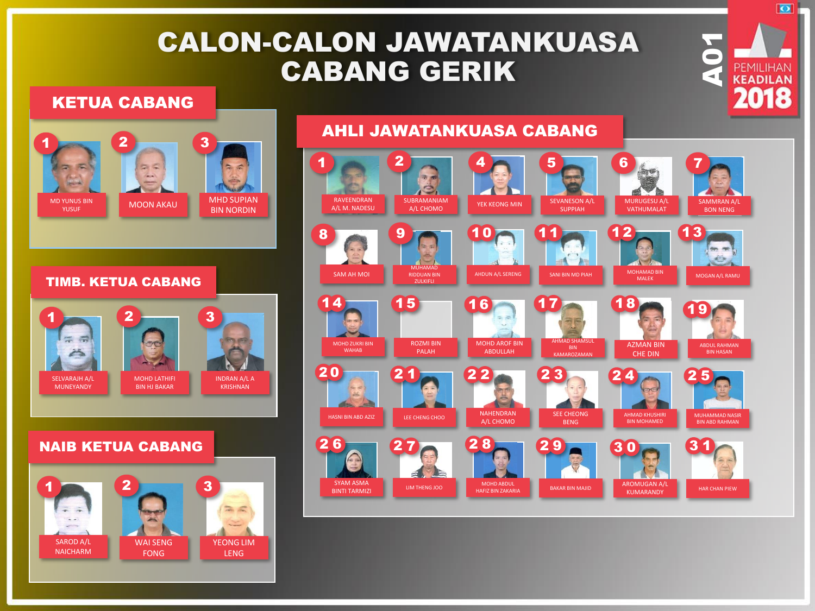# CALON-CALON JAWATANKUASA CABANG GERIK

### KETUA CABANG



#### TIMB. KETUA CABANG



### NAIB KETUA CABANG



#### 1 2 4 5 6 7 RAVEENDRAN SUBRAMANIAM<br>A/L CHOMO YEK KEONG MIN SEVANESON A/L MURUGESU A/L SAMMRAN A/L A/L M. NADESU VATHUMALAT SUPPIAH BON NENG  $8$  9 1  $10$  1  $11$  12 13  $10$  $0$   $11$   $12$  $11$   $12$   $1$ in m éh MUHAMAD AHDUN A/L SERENG SANI BIN MD PIAH MOHAMAD BIN MOLEK SAM AH MOI RIDDUAN BIN MOGAN A/L RAMU ZULKIFLI  $14$  15 16 17 18 1  $4$   $15$   $16$   $17$   $18$ 9ROZMI BIN MOHD AROF BIN AHMAD SHAMSUL MOHD ZUKRI BIN AZMAN BIN ABDUL RAHMAN **WAHAR** PALAH ABDULLAH KAMAROZAMAN CHE DIN 0  $20$  21  $22$  23 24 2 1 2 3 4 5 NAHENDRAN SEE CHEONG AHMAD KHUSHIRI MUHAMMAD NASIR HASNI BIN ABD AZIZ LEE CHENG CHOO A/L CHOMO BENG BIN MOHAMED BIN ABD RAHMAN  $26$  27  $28$  29 30 3  $6$   $27$   $28$   $29$   $30$   $31$ 28 0 SYAM ASMA MOHD ABDUL AROMUGAN A/L BINTI TARMIZI LIM THENG JOO HAFIZ BIN ZAKARIA BAKAR BIN MAJID HAR CHAN PIEW HAR CHAN PIEW HAFIZ BIN ZAKARIA KUMARANDY

## AHLI JAWATANKUASA CABANG

**A01**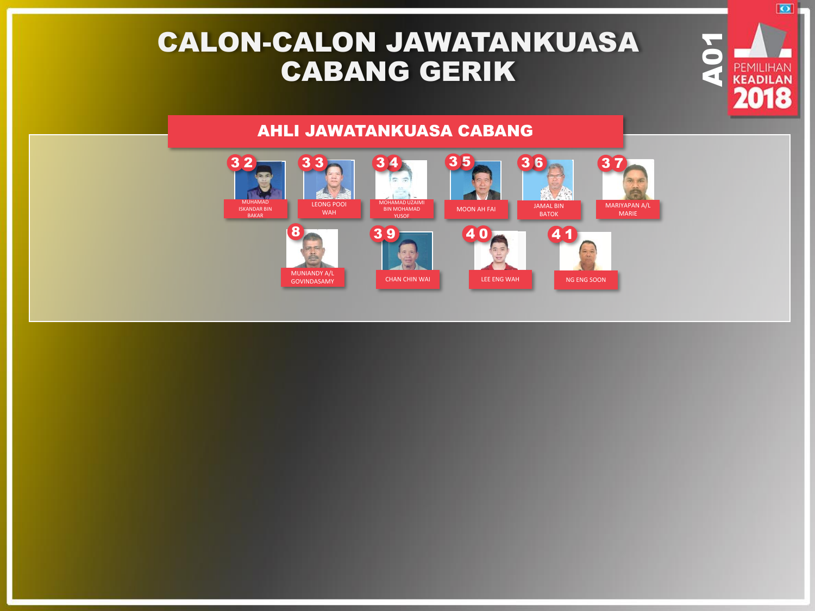# CALON-CALON JAWATANKUASA CABANG GERIK

### AHLI JAWATANKUASA CABANG



PEMILIHAN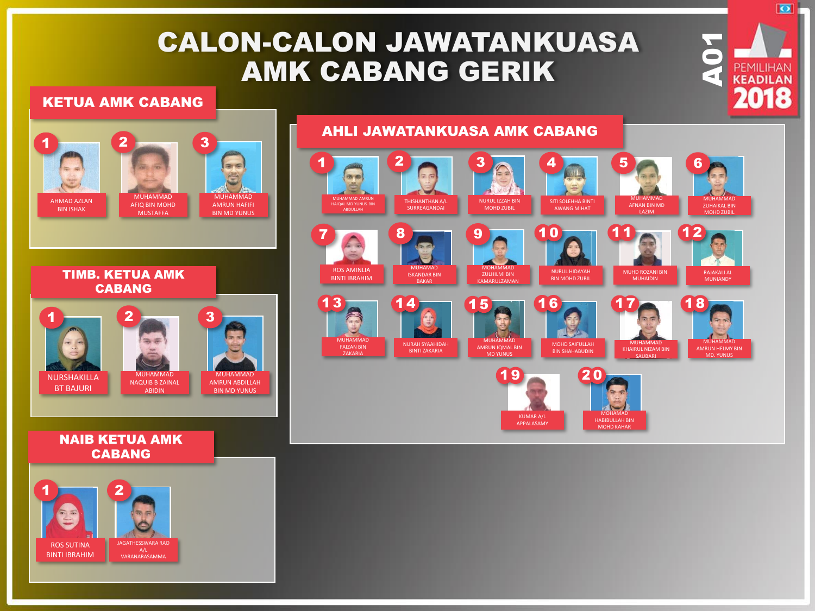# CALON-CALON JAWATANKUASA AMK CABANG GERIK

### KETUA AMK CABANG



#### NAIB KETUA AMK CABANG



## AHLI JAWATANKUASA AMK CABANG



**A01**